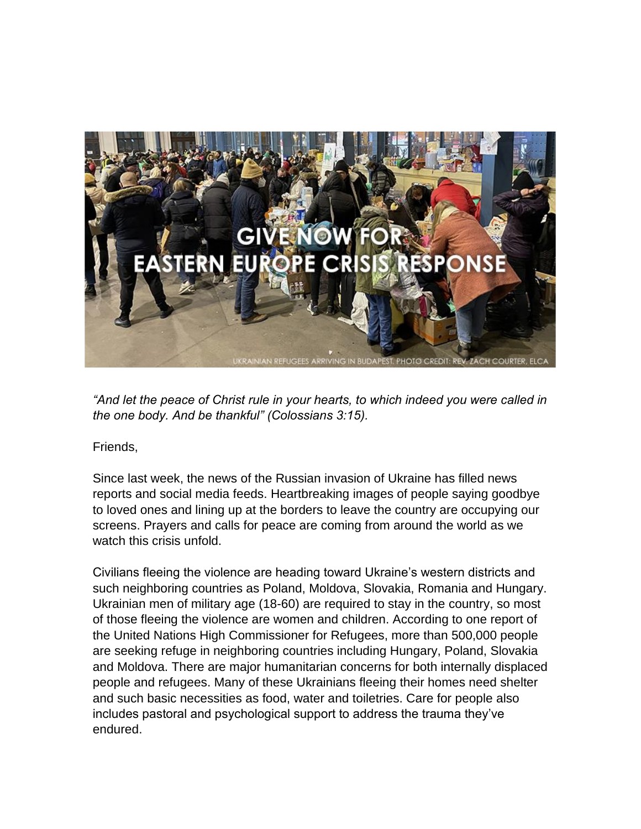

*"And let the peace of Christ rule in your hearts, to which indeed you were called in the one body. And be thankful" (Colossians 3:15).*

Friends,

Since last week, the news of the Russian invasion of Ukraine has filled news reports and social media feeds. Heartbreaking images of people saying goodbye to loved ones and lining up at the borders to leave the country are occupying our screens. Prayers and calls for peace are coming from around the world as we watch this crisis unfold.

Civilians fleeing the violence are heading toward Ukraine's western districts and such neighboring countries as Poland, Moldova, Slovakia, Romania and Hungary. Ukrainian men of military age (18-60) are required to stay in the country, so most of those fleeing the violence are women and children. According to one report of the United Nations High Commissioner for Refugees, more than 500,000 people are seeking refuge in neighboring countries including Hungary, Poland, Slovakia and Moldova. There are major humanitarian concerns for both internally displaced people and refugees. Many of these Ukrainians fleeing their homes need shelter and such basic necessities as food, water and toiletries. Care for people also includes pastoral and psychological support to address the trauma they've endured.